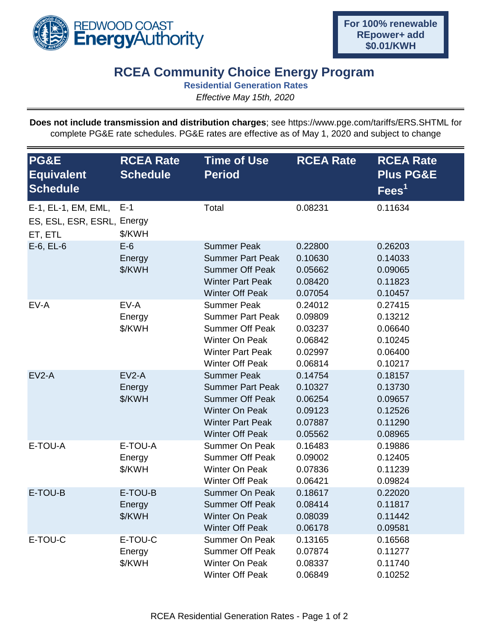

## **RCEA Community Choice Energy Program**

**Residential Generation Rates**

*Effective May 15th, 2020*

**Does not include transmission and distribution charges**; see https://www.pge.com/tariffs/ERS.SHTML for complete PG&E rate schedules. PG&E rates are effective as of May 1, 2020 and subject to change

| PG&E<br><b>Equivalent</b><br><b>Schedule</b>                 | <b>RCEA Rate</b><br><b>Schedule</b> | <b>Time of Use</b><br><b>Period</b>                                                                                                                   | <b>RCEA Rate</b>                                               | <b>RCEA Rate</b><br><b>Plus PG&amp;E</b><br>$\overline{\text{Fees}}^1$ |
|--------------------------------------------------------------|-------------------------------------|-------------------------------------------------------------------------------------------------------------------------------------------------------|----------------------------------------------------------------|------------------------------------------------------------------------|
| E-1, EL-1, EM, EML,<br>ES, ESL, ESR, ESRL, Energy<br>ET, ETL | $E-1$<br>\$/KWH                     | Total                                                                                                                                                 | 0.08231                                                        | 0.11634                                                                |
| $E-6$ , $EL-6$                                               | $E-6$<br>Energy<br>\$/KWH           | <b>Summer Peak</b><br><b>Summer Part Peak</b><br><b>Summer Off Peak</b><br><b>Winter Part Peak</b><br><b>Winter Off Peak</b>                          | 0.22800<br>0.10630<br>0.05662<br>0.08420<br>0.07054            | 0.26203<br>0.14033<br>0.09065<br>0.11823<br>0.10457                    |
| EV-A                                                         | EV-A<br>Energy<br>\$/KWH            | <b>Summer Peak</b><br><b>Summer Part Peak</b><br><b>Summer Off Peak</b><br>Winter On Peak<br><b>Winter Part Peak</b><br><b>Winter Off Peak</b>        | 0.24012<br>0.09809<br>0.03237<br>0.06842<br>0.02997<br>0.06814 | 0.27415<br>0.13212<br>0.06640<br>0.10245<br>0.06400<br>0.10217         |
| $EV2-A$                                                      | $EV2-A$<br>Energy<br>\$/KWH         | <b>Summer Peak</b><br><b>Summer Part Peak</b><br><b>Summer Off Peak</b><br><b>Winter On Peak</b><br><b>Winter Part Peak</b><br><b>Winter Off Peak</b> | 0.14754<br>0.10327<br>0.06254<br>0.09123<br>0.07887<br>0.05562 | 0.18157<br>0.13730<br>0.09657<br>0.12526<br>0.11290<br>0.08965         |
| E-TOU-A                                                      | E-TOU-A<br>Energy<br>\$/KWH         | <b>Summer On Peak</b><br><b>Summer Off Peak</b><br>Winter On Peak<br><b>Winter Off Peak</b>                                                           | 0.16483<br>0.09002<br>0.07836<br>0.06421                       | 0.19886<br>0.12405<br>0.11239<br>0.09824                               |
| E-TOU-B                                                      | E-TOU-B<br>Energy<br>\$/KWH         | <b>Summer On Peak</b><br><b>Summer Off Peak</b><br><b>Winter On Peak</b><br><b>Winter Off Peak</b>                                                    | 0.18617<br>0.08414<br>0.08039<br>0.06178                       | 0.22020<br>0.11817<br>0.11442<br>0.09581                               |
| E-TOU-C                                                      | E-TOU-C<br>Energy<br>\$/KWH         | <b>Summer On Peak</b><br>Summer Off Peak<br>Winter On Peak<br><b>Winter Off Peak</b>                                                                  | 0.13165<br>0.07874<br>0.08337<br>0.06849                       | 0.16568<br>0.11277<br>0.11740<br>0.10252                               |